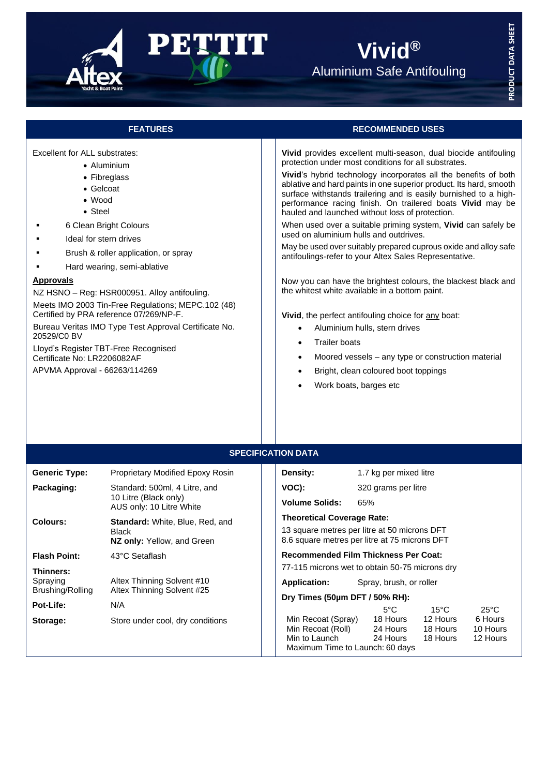

# **Vivid®** Aluminium Safe Antifouling

Excellent for ALL substrates:

- Aluminium
- Fibreglass
- Gelcoat
- Wood
- Steel
- 6 Clean Bright Colours
- Ideal for stern drives
- Brush & roller application, or spray
- Hard wearing, semi-ablative

### **Approvals**

NZ HSNO – Reg: HSR000951. Alloy antifouling.

Meets IMO 2003 Tin-Free Regulations; MEPC.102 (48) Certified by PRA reference 07/269/NP-F. Bureau Veritas IMO Type Test Approval Certificate No. 20529/C0 BV

Lloyd's Register TBT-Free Recognised Certificate No: LR2206082AF

APVMA Approval - 66263/114269

# **FEATURES RECOMMENDED USES**

**Vivid** provides excellent multi-season, dual biocide antifouling protection under most conditions for all substrates.

**Vivid**'s hybrid technology incorporates all the benefits of both ablative and hard paints in one superior product. Its hard, smooth surface withstands trailering and is easily burnished to a highperformance racing finish. On trailered boats **Vivid** may be hauled and launched without loss of protection.

When used over a suitable priming system, **Vivid** can safely be used on aluminium hulls and outdrives.

May be used over suitably prepared cuprous oxide and alloy safe antifoulings-refer to your Altex Sales Representative.

Now you can have the brightest colours, the blackest black and the whitest white available in a bottom paint.

**Vivid**, the perfect antifouling choice for any boat:

- Aluminium hulls, stern drives
- **Trailer boats**
- Moored vessels any type or construction material
- Bright, clean coloured boot toppings
- Work boats, barges etc

| <b>SPECIFICATION DATA</b>                 |                                                                                      |                                                                                               |                         |                      |                      |  |  |  |
|-------------------------------------------|--------------------------------------------------------------------------------------|-----------------------------------------------------------------------------------------------|-------------------------|----------------------|----------------------|--|--|--|
| <b>Generic Type:</b>                      | Proprietary Modified Epoxy Rosin                                                     | Density:                                                                                      | 1.7 kg per mixed litre  |                      |                      |  |  |  |
| Packaging:                                | Standard: 500ml, 4 Litre, and<br>10 Litre (Black only)<br>AUS only: 10 Litre White   | VOC):                                                                                         | 320 grams per litre     |                      |                      |  |  |  |
|                                           |                                                                                      | <b>Volume Solids:</b>                                                                         | 65%                     |                      |                      |  |  |  |
| Colours:                                  | <b>Standard:</b> White, Blue, Red, and<br><b>Black</b><br>NZ only: Yellow, and Green | <b>Theoretical Coverage Rate:</b>                                                             |                         |                      |                      |  |  |  |
|                                           |                                                                                      | 13 square metres per litre at 50 microns DFT<br>8.6 square metres per litre at 75 microns DFT |                         |                      |                      |  |  |  |
| <b>Flash Point:</b>                       | 43°C Setaflash                                                                       | <b>Recommended Film Thickness Per Coat:</b>                                                   |                         |                      |                      |  |  |  |
| Thinners:<br>Spraying<br>Brushing/Rolling |                                                                                      | 77-115 microns wet to obtain 50-75 microns dry                                                |                         |                      |                      |  |  |  |
|                                           | Altex Thinning Solvent #10<br>Altex Thinning Solvent #25                             | <b>Application:</b>                                                                           | Spray, brush, or roller |                      |                      |  |  |  |
|                                           |                                                                                      | Dry Times (50µm DFT / 50% RH):                                                                |                         |                      |                      |  |  |  |
| Pot-Life:                                 | N/A                                                                                  |                                                                                               | $5^{\circ}$ C           | $15^{\circ}$ C       | $25^{\circ}$ C       |  |  |  |
| Storage:                                  | Store under cool, dry conditions                                                     | Min Recoat (Spray)                                                                            | 18 Hours                | 12 Hours             | 6 Hours              |  |  |  |
|                                           |                                                                                      | Min Recoat (Roll)<br>Min to Launch 24 Hours                                                   | 24 Hours                | 18 Hours<br>18 Hours | 10 Hours<br>12 Hours |  |  |  |
|                                           |                                                                                      | Maximum Time to Launch: 60 days                                                               |                         |                      |                      |  |  |  |